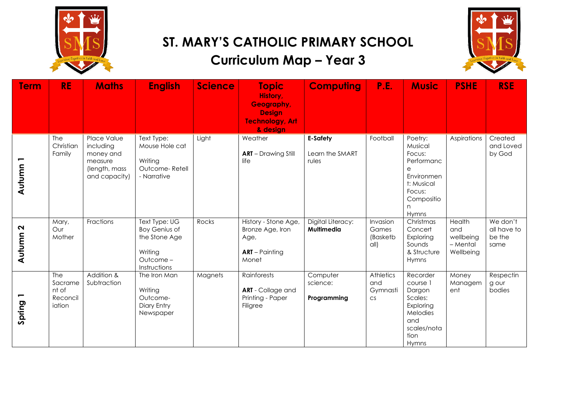

## **ST. MARY'S CATHOLIC PRIMARY SCHOOL**

## **Curriculum Map – Year 3**



| <b>Term</b>         | <b>RE</b>                                            | <b>Maths</b>                                                                       | <b>English</b>                                                                                | <b>Science</b> | <b>Topic</b><br>History,<br>Geography,<br><b>Design</b><br><b>Technology, Art</b><br>& design | <b>Computing</b>                     | P.E.                                      | <b>Music</b>                                                                                                      | <b>PSHE</b>                                         | <b>RSE</b>                                |
|---------------------|------------------------------------------------------|------------------------------------------------------------------------------------|-----------------------------------------------------------------------------------------------|----------------|-----------------------------------------------------------------------------------------------|--------------------------------------|-------------------------------------------|-------------------------------------------------------------------------------------------------------------------|-----------------------------------------------------|-------------------------------------------|
| Autumn <sub>1</sub> | The<br>Christian<br>Family                           | Place Value<br>including<br>money and<br>measure<br>(length, mass<br>and capacity) | Text Type:<br>Mouse Hole cat<br>Writing<br>Outcome-Retell<br>- Narrative                      | Light          | Weather<br><b>ART</b> - Drawing Still<br>life                                                 | E-Safety<br>Learn the SMART<br>rules | Football                                  | Poetry:<br>Musical<br>Focus:<br>Performanc<br>е<br>Environmen<br>t: Musical<br>Focus:<br>Compositio<br>n<br>Hymns | Aspirations                                         | Created<br>and Loved<br>by God            |
| Autumn 2            | Mary,<br>Our<br>Mother                               | Fractions                                                                          | Text Type: UG<br><b>Boy Genius of</b><br>the Stone Age<br>Writing<br>Outcome-<br>Instructions | Rocks          | History - Stone Age,<br>Bronze Age, Iron<br>Age,<br>$ART - Pairing$<br>Monet                  | Digital Literacy:<br>Multimedia      | Invasion<br>Games<br>(Basketb<br>all)     | Christmas<br>Concert<br>Exploring<br>Sounds<br>& Structure<br>Hymns                                               | Health<br>and<br>wellbeing<br>- Mental<br>Wellbeing | We don't<br>all have to<br>be the<br>same |
| Spring 1            | <b>The</b><br>Sacrame<br>nt of<br>Reconcil<br>iation | Addition &<br>Subtraction                                                          | The Iron Man<br>Writing<br>Outcome-<br>Diary Entry<br>Newspaper                               | Magnets        | Rainforests<br><b>ART</b> - Collage and<br>Printing - Paper<br>Filigree                       | Computer<br>science:<br>Programming  | Athletics<br>and<br>Gymnasti<br><b>CS</b> | Recorder<br>course 1<br>Dargon<br>Scales:<br>Exploring<br>Melodies<br>and<br>scales/nota<br>tion<br>Hymns         | Money<br>Managem<br>ent                             | Respectin<br>g our<br>bodies              |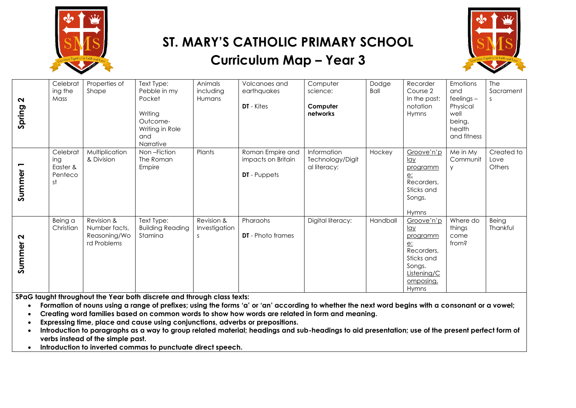

## **ST. MARY'S CATHOLIC PRIMARY SCHOOL Curriculum Map – Year 3**



| $\sim$<br>Spring                    | Celebrat<br>ing the<br>Mass                  | Properties of<br>Shape                                     | Text Type:<br>Pebble in my<br>Pocket<br>Writing<br>Outcome-<br>Writing in Role<br>and<br>Narrative | Animals<br>including<br>Humans    | Volcanoes and<br>earthquakes<br><b>DT</b> - Kites             | Computer<br>science:<br>Computer<br>networks    | Dodge<br>Ball | Recorder<br>Course 2<br>In the past:<br>notation<br>Hymns                                                                    | Emotions<br>and<br>$feelings -$<br>Physical<br>well<br>being,<br>health<br>and fitness | The<br>Sacrament<br>S        |
|-------------------------------------|----------------------------------------------|------------------------------------------------------------|----------------------------------------------------------------------------------------------------|-----------------------------------|---------------------------------------------------------------|-------------------------------------------------|---------------|------------------------------------------------------------------------------------------------------------------------------|----------------------------------------------------------------------------------------|------------------------------|
| Summer <sub>1</sub>                 | Celebrat<br>ing<br>Easter &<br>Penteco<br>st | Multiplication<br>& Division                               | Non-Fiction<br>The Roman<br>Empire                                                                 | Plants                            | Roman Empire and<br>impacts on Britain<br><b>DT</b> - Puppets | Information<br>Technology/Digit<br>al literacy: | Hockey        | Groove'n'p<br><u>lay</u><br>programm<br><u>e:</u><br>Recorders,<br>Sticks and<br>Songs.<br>Hymns                             | Me in My<br>Communit                                                                   | Created to<br>Love<br>Others |
| $\boldsymbol{\mathsf{N}}$<br>Summer | Being a<br>Christian                         | Revision &<br>Number facts,<br>Reasoning/Wo<br>rd Problems | Text Type:<br><b>Building Reading</b><br>Stamina                                                   | Revision &<br>Investigation<br>-S | Pharaohs<br><b>DT</b> - Photo frames                          | Digital literacy:                               | Handball      | Groove'n'p<br><u>lay</u><br>programm<br>e:<br>Recorders,<br>Sticks and<br>Songs.<br>Listening/C<br>omposing.<br><b>Hymns</b> | Where do<br>things<br>come<br>from?                                                    | Being<br>Thankful            |

**SPaG taught throughout the Year both discrete and through class texts:** 

- Formation of nouns using a range of prefixes; using the forms 'a' or 'an' according to whether the next word begins with a consonant or a vowel;
- **Creating word families based on common words to show how words are related in form and meaning.**
- **Expressing time, place and cause using conjunctions, adverbs or prepositions.**
- **Introduction to paragraphs as a way to group related material; headings and sub-headings to aid presentation; use of the present perfect form of verbs instead of the simple past.**
- **Introduction to inverted commas to punctuate direct speech.**